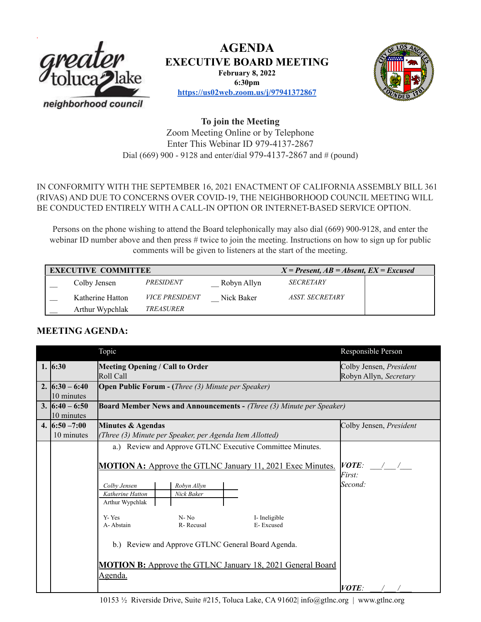

# **AGENDA EXECUTIVE BOARD MEETING**

**February 8, 2022**

**6:30pm**



**<https://us02web.zoom.us/j/97941372867>**

**To join the Meeting** Zoom Meeting Online or by Telephone Enter This Webinar ID 979-4137-2867 Dial (669) 900 - 9128 and enter/dial 979-4137-2867 and # (pound)

### IN CONFORMITY WITH THE SEPTEMBER 16, 2021 ENACTMENT OF CALIFORNIAASSEMBLY BILL 361 (RIVAS) AND DUE TO CONCERNS OVER COVID-19, THE NEIGHBORHOOD COUNCIL MEETING WILL BE CONDUCTED ENTIRELY WITH A CALL-IN OPTION OR INTERNET-BASED SERVICE OPTION.

Persons on the phone wishing to attend the Board telephonically may also dial (669) 900-9128, and enter the webinar ID number above and then press # twice to join the meeting. Instructions on how to sign up for public comments will be given to listeners at the start of the meeting.

| <b>EXECUTIVE COMMITTEE</b> |                  |                       |             | $X = Present, AB = Absent, EX = Excused$ |  |
|----------------------------|------------------|-----------------------|-------------|------------------------------------------|--|
|                            | Colby Jensen     | PRESIDENT             | Robyn Allyn | <b>SECRETARY</b>                         |  |
|                            | Katherine Hatton | <i>VICE PRESIDENT</i> | Nick Baker  | ASST. SECRETARY                          |  |
|                            | Arthur Wypchlak  | TREASURER             |             |                                          |  |

## **MEETING AGENDA:**

|                                  | Topic                                                                                                                                                                                                                                                                                                                                                                                                                                | Responsible Person                                       |  |  |  |
|----------------------------------|--------------------------------------------------------------------------------------------------------------------------------------------------------------------------------------------------------------------------------------------------------------------------------------------------------------------------------------------------------------------------------------------------------------------------------------|----------------------------------------------------------|--|--|--|
| 1. $6:30$                        | <b>Meeting Opening / Call to Order</b><br>Roll Call                                                                                                                                                                                                                                                                                                                                                                                  | Colby Jensen, President<br>Robyn Allyn, Secretary        |  |  |  |
| 2. $(6:30 - 6:40)$<br>10 minutes | <b>Open Public Forum - (Three (3) Minute per Speaker)</b>                                                                                                                                                                                                                                                                                                                                                                            |                                                          |  |  |  |
| 3. $16:40 - 6:50$<br>10 minutes  | <b>Board Member News and Announcements - (Three (3) Minute per Speaker)</b>                                                                                                                                                                                                                                                                                                                                                          |                                                          |  |  |  |
| 4. $16:50 - 7:00$<br>10 minutes  | Minutes & Agendas<br>(Three (3) Minute per Speaker, per Agenda Item Allotted)                                                                                                                                                                                                                                                                                                                                                        | Colby Jensen, President                                  |  |  |  |
|                                  | a.) Review and Approve GTLNC Executive Committee Minutes.<br><b>MOTION A:</b> Approve the GTLNC January 11, 2021 Exec Minutes.<br>Robyn Allyn<br>Colby Jensen<br>Katherine Hatton<br>Nick Baker<br>Arthur Wypchlak<br>Y-Yes<br>$N - No$<br>I-Ineligible<br>A-Abstain<br>R-Recusal<br>E-Excused<br>b.) Review and Approve GTLNC General Board Agenda.<br><b>MOTION B:</b> Approve the GTLNC January 18, 2021 General Board<br>Agenda. | <i>VOTE:</i><br><i>First:</i><br>Second:<br><i>VOTE:</i> |  |  |  |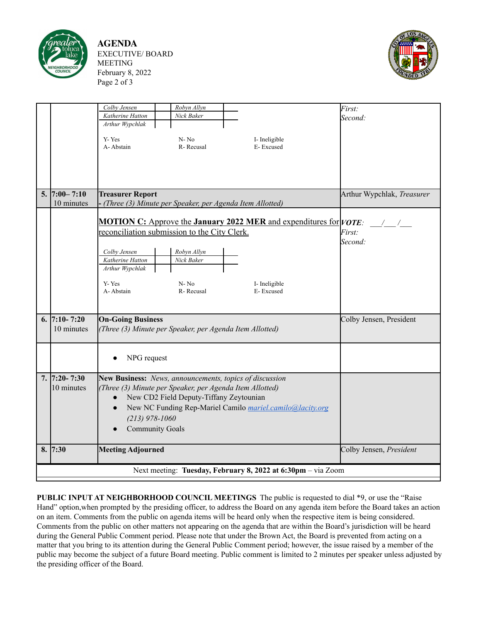

**AGENDA** EXECUTIVE/ BOARD MEETING February 8, 2022 Page 2 of 3



|                                                              |                    | Colby Jensen<br>Robyn Allyn                                                                                         |                            | First:                                |  |  |  |  |  |
|--------------------------------------------------------------|--------------------|---------------------------------------------------------------------------------------------------------------------|----------------------------|---------------------------------------|--|--|--|--|--|
|                                                              |                    | Katherine Hatton<br>Nick Baker                                                                                      |                            | Second:                               |  |  |  |  |  |
|                                                              |                    | Arthur Wypchlak                                                                                                     |                            |                                       |  |  |  |  |  |
|                                                              |                    | Y-Yes<br>$N - No$                                                                                                   | I-Ineligible               |                                       |  |  |  |  |  |
|                                                              |                    | A-Abstain<br>R-Recusal                                                                                              | E-Excused                  |                                       |  |  |  |  |  |
|                                                              |                    |                                                                                                                     |                            |                                       |  |  |  |  |  |
|                                                              |                    |                                                                                                                     |                            |                                       |  |  |  |  |  |
|                                                              |                    |                                                                                                                     |                            |                                       |  |  |  |  |  |
|                                                              |                    |                                                                                                                     |                            |                                       |  |  |  |  |  |
|                                                              | $5.  7:00 - 7:10$  | <b>Treasurer Report</b>                                                                                             | Arthur Wypchlak, Treasurer |                                       |  |  |  |  |  |
|                                                              | 10 minutes         | - (Three (3) Minute per Speaker, per Agenda Item Allotted)                                                          |                            |                                       |  |  |  |  |  |
|                                                              |                    | <b>MOTION C:</b> Approve the <b>January 2022 MER</b> and expenditures for $ VOTE $ :                                |                            |                                       |  |  |  |  |  |
|                                                              |                    | reconciliation submission to the City Clerk.                                                                        |                            | $\frac{1}{2}$ $\frac{1}{2}$<br>First: |  |  |  |  |  |
|                                                              |                    |                                                                                                                     |                            | Second:                               |  |  |  |  |  |
|                                                              |                    | Colby Jensen<br>Robyn Allyn                                                                                         |                            |                                       |  |  |  |  |  |
|                                                              |                    | Katherine Hatton<br>Nick Baker                                                                                      |                            |                                       |  |  |  |  |  |
|                                                              |                    | Arthur Wypchlak                                                                                                     |                            |                                       |  |  |  |  |  |
|                                                              |                    | Y-Yes<br>$N - No$                                                                                                   | I- Ineligible              |                                       |  |  |  |  |  |
|                                                              |                    | A-Abstain<br>R-Recusal                                                                                              | E-Excused                  |                                       |  |  |  |  |  |
|                                                              |                    |                                                                                                                     |                            |                                       |  |  |  |  |  |
|                                                              |                    |                                                                                                                     |                            |                                       |  |  |  |  |  |
|                                                              | 6. $7:10 - 7:20$   | <b>On-Going Business</b>                                                                                            | Colby Jensen, President    |                                       |  |  |  |  |  |
|                                                              | 10 minutes         | (Three (3) Minute per Speaker, per Agenda Item Allotted)                                                            |                            |                                       |  |  |  |  |  |
|                                                              |                    |                                                                                                                     |                            |                                       |  |  |  |  |  |
|                                                              |                    |                                                                                                                     |                            |                                       |  |  |  |  |  |
|                                                              |                    | NPG request                                                                                                         |                            |                                       |  |  |  |  |  |
|                                                              | $7.   7:20 - 7:30$ |                                                                                                                     |                            |                                       |  |  |  |  |  |
|                                                              | 10 minutes         | New Business: News, announcements, topics of discussion<br>(Three (3) Minute per Speaker, per Agenda Item Allotted) |                            |                                       |  |  |  |  |  |
|                                                              |                    | New CD2 Field Deputy-Tiffany Zeytounian<br>$\bullet$                                                                |                            |                                       |  |  |  |  |  |
|                                                              |                    | New NC Funding Rep-Mariel Camilo mariel.camilo@lacity.org<br>$\bullet$                                              |                            |                                       |  |  |  |  |  |
|                                                              |                    | $(213)$ 978-1060                                                                                                    |                            |                                       |  |  |  |  |  |
|                                                              |                    | <b>Community Goals</b>                                                                                              |                            |                                       |  |  |  |  |  |
|                                                              |                    |                                                                                                                     |                            |                                       |  |  |  |  |  |
|                                                              | 8.  7:30           | <b>Meeting Adjourned</b>                                                                                            |                            | Colby Jensen, President               |  |  |  |  |  |
|                                                              |                    |                                                                                                                     |                            |                                       |  |  |  |  |  |
| Next meeting: Tuesday, February 8, 2022 at 6:30pm - via Zoom |                    |                                                                                                                     |                            |                                       |  |  |  |  |  |
|                                                              |                    |                                                                                                                     |                            |                                       |  |  |  |  |  |

**PUBLIC INPUT AT NEIGHBORHOOD COUNCIL MEETINGS** The public is requested to dial \*9, or use the "Raise Hand" option,when prompted by the presiding officer, to address the Board on any agenda item before the Board takes an action on an item. Comments from the public on agenda items will be heard only when the respective item is being considered. Comments from the public on other matters not appearing on the agenda that are within the Board's jurisdiction will be heard during the General Public Comment period. Please note that under the Brown Act, the Board is prevented from acting on a matter that you bring to its attention during the General Public Comment period; however, the issue raised by a member of the public may become the subject of a future Board meeting. Public comment is limited to 2 minutes per speaker unless adjusted by the presiding officer of the Board.